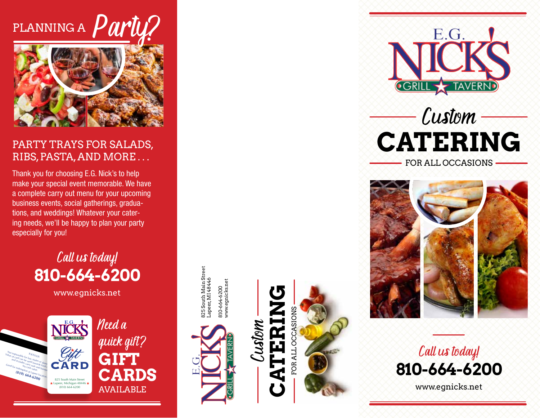# PLANNING A  $\boldsymbol{P}$



### PARTY TRAYS FOR SALADS, RIBS, PASTA, AND MORE . . .

Thank you for choosing E.G. Nick's to help make your special event memorable. We have a complete carry out menu for your upcoming business events, social gatherings, gradua tions, and weddings! Whatever your cater ing needs, we'll be happy to plan your party especially for you!

> Call us today! **810-664-6200**

> > www.egnicks.net



825 South Main Street 325 South Main Street<br>-apeer, MI 48446 Lapeer, MI 48446 www.egnicks.net 310-664-6200<br>www.egnicks.net 810-664-6200



**CATERING** Custom  $\mathbf{K}$ Ę











www.egnicks.net